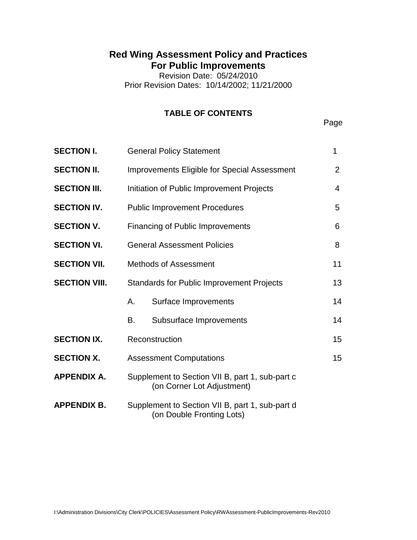# **Red Wing Assessment Policy and Practices For Public Improvements**

Revision Date: 05/24/2010 Prior Revision Dates: 10/14/2002; 11/21/2000

# **TABLE OF CONTENTS**

Page

| <b>SECTION I.</b>    | <b>General Policy Statement</b>                                               |                         | 1  |
|----------------------|-------------------------------------------------------------------------------|-------------------------|----|
| <b>SECTION II.</b>   | <b>Improvements Eligible for Special Assessment</b>                           |                         | 2  |
| <b>SECTION III.</b>  | Initiation of Public Improvement Projects                                     |                         | 4  |
| <b>SECTION IV.</b>   | <b>Public Improvement Procedures</b>                                          |                         | 5  |
| <b>SECTION V.</b>    | <b>Financing of Public Improvements</b>                                       |                         | 6  |
| <b>SECTION VI.</b>   | <b>General Assessment Policies</b>                                            |                         | 8  |
| <b>SECTION VII.</b>  | <b>Methods of Assessment</b>                                                  |                         | 11 |
| <b>SECTION VIII.</b> | <b>Standards for Public Improvement Projects</b>                              |                         | 13 |
|                      | А.                                                                            | Surface Improvements    | 14 |
|                      | В.                                                                            | Subsurface Improvements | 14 |
| <b>SECTION IX.</b>   | Reconstruction                                                                |                         | 15 |
| <b>SECTION X.</b>    | <b>Assessment Computations</b>                                                |                         | 15 |
| <b>APPENDIX A.</b>   | Supplement to Section VII B, part 1, sub-part c<br>(on Corner Lot Adjustment) |                         |    |
| <b>APPENDIX B.</b>   | Supplement to Section VII B, part 1, sub-part d<br>(on Double Fronting Lots)  |                         |    |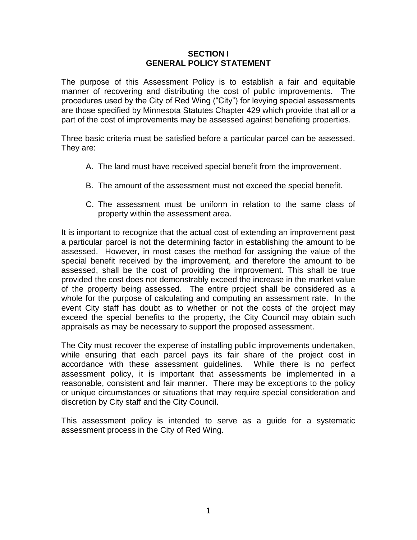#### **SECTION I GENERAL POLICY STATEMENT**

The purpose of this Assessment Policy is to establish a fair and equitable manner of recovering and distributing the cost of public improvements. The procedures used by the City of Red Wing ("City") for levying special assessments are those specified by Minnesota Statutes Chapter 429 which provide that all or a part of the cost of improvements may be assessed against benefiting properties.

Three basic criteria must be satisfied before a particular parcel can be assessed. They are:

- A. The land must have received special benefit from the improvement.
- B. The amount of the assessment must not exceed the special benefit.
- C. The assessment must be uniform in relation to the same class of property within the assessment area.

It is important to recognize that the actual cost of extending an improvement past a particular parcel is not the determining factor in establishing the amount to be assessed. However, in most cases the method for assigning the value of the special benefit received by the improvement, and therefore the amount to be assessed, shall be the cost of providing the improvement. This shall be true provided the cost does not demonstrably exceed the increase in the market value of the property being assessed. The entire project shall be considered as a whole for the purpose of calculating and computing an assessment rate. In the event City staff has doubt as to whether or not the costs of the project may exceed the special benefits to the property, the City Council may obtain such appraisals as may be necessary to support the proposed assessment.

The City must recover the expense of installing public improvements undertaken, while ensuring that each parcel pays its fair share of the project cost in accordance with these assessment guidelines. While there is no perfect assessment policy, it is important that assessments be implemented in a reasonable, consistent and fair manner. There may be exceptions to the policy or unique circumstances or situations that may require special consideration and discretion by City staff and the City Council.

This assessment policy is intended to serve as a guide for a systematic assessment process in the City of Red Wing.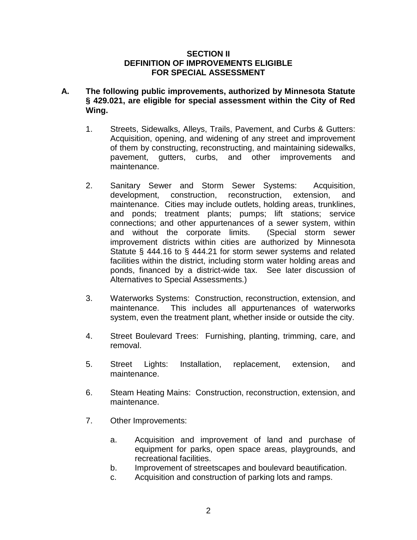#### **SECTION II DEFINITION OF IMPROVEMENTS ELIGIBLE FOR SPECIAL ASSESSMENT**

- **A. The following public improvements, authorized by Minnesota Statute § 429.021, are eligible for special assessment within the City of Red Wing.**
	- 1. Streets, Sidewalks, Alleys, Trails, Pavement, and Curbs & Gutters: Acquisition, opening, and widening of any street and improvement of them by constructing, reconstructing, and maintaining sidewalks, pavement, gutters, curbs, and other improvements and maintenance.
	- 2. Sanitary Sewer and Storm Sewer Systems: Acquisition, development, construction, reconstruction, extension, and maintenance. Cities may include outlets, holding areas, trunklines, and ponds; treatment plants; pumps; lift stations; service connections; and other appurtenances of a sewer system, within and without the corporate limits. (Special storm sewer improvement districts within cities are authorized by Minnesota Statute § 444.16 to § 444.21 for storm sewer systems and related facilities within the district, including storm water holding areas and ponds, financed by a district-wide tax. See later discussion of Alternatives to Special Assessments.)
	- 3. Waterworks Systems: Construction, reconstruction, extension, and maintenance. This includes all appurtenances of waterworks system, even the treatment plant, whether inside or outside the city.
	- 4. Street Boulevard Trees: Furnishing, planting, trimming, care, and removal.
	- 5. Street Lights: Installation, replacement, extension, and maintenance.
	- 6. Steam Heating Mains: Construction, reconstruction, extension, and maintenance.
	- 7. Other Improvements:
		- a. Acquisition and improvement of land and purchase of equipment for parks, open space areas, playgrounds, and recreational facilities.
		- b. Improvement of streetscapes and boulevard beautification.
		- c. Acquisition and construction of parking lots and ramps.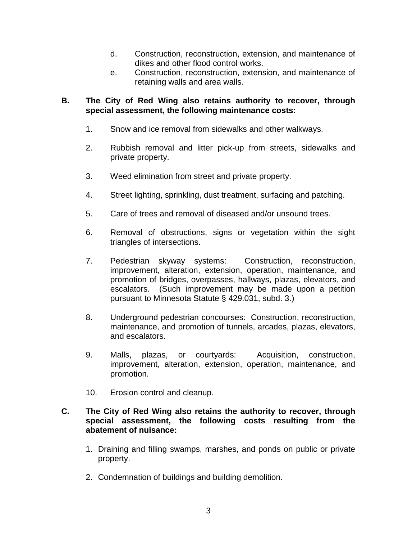- d. Construction, reconstruction, extension, and maintenance of dikes and other flood control works.
- e. Construction, reconstruction, extension, and maintenance of retaining walls and area walls.

# **B. The City of Red Wing also retains authority to recover, through special assessment, the following maintenance costs:**

- 1. Snow and ice removal from sidewalks and other walkways.
- 2. Rubbish removal and litter pick-up from streets, sidewalks and private property.
- 3. Weed elimination from street and private property.
- 4. Street lighting, sprinkling, dust treatment, surfacing and patching.
- 5. Care of trees and removal of diseased and/or unsound trees.
- 6. Removal of obstructions, signs or vegetation within the sight triangles of intersections.
- 7. Pedestrian skyway systems: Construction, reconstruction, improvement, alteration, extension, operation, maintenance, and promotion of bridges, overpasses, hallways, plazas, elevators, and escalators. (Such improvement may be made upon a petition pursuant to Minnesota Statute § 429.031, subd. 3.)
- 8. Underground pedestrian concourses: Construction, reconstruction, maintenance, and promotion of tunnels, arcades, plazas, elevators, and escalators.
- 9. Malls, plazas, or courtyards: Acquisition, construction, improvement, alteration, extension, operation, maintenance, and promotion.
- 10. Erosion control and cleanup.

# **C. The City of Red Wing also retains the authority to recover, through special assessment, the following costs resulting from the abatement of nuisance:**

- 1. Draining and filling swamps, marshes, and ponds on public or private property.
- 2. Condemnation of buildings and building demolition.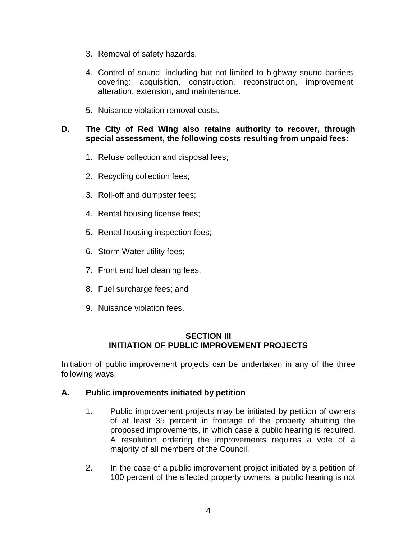- 3. Removal of safety hazards.
- 4. Control of sound, including but not limited to highway sound barriers, covering: acquisition, construction, reconstruction, improvement, alteration, extension, and maintenance.
- 5. Nuisance violation removal costs.

### **D. The City of Red Wing also retains authority to recover, through special assessment, the following costs resulting from unpaid fees:**

- 1. Refuse collection and disposal fees;
- 2. Recycling collection fees;
- 3. Roll-off and dumpster fees;
- 4. Rental housing license fees;
- 5. Rental housing inspection fees;
- 6. Storm Water utility fees;
- 7. Front end fuel cleaning fees;
- 8. Fuel surcharge fees; and
- 9. Nuisance violation fees.

# **SECTION III INITIATION OF PUBLIC IMPROVEMENT PROJECTS**

Initiation of public improvement projects can be undertaken in any of the three following ways.

# **A. Public improvements initiated by petition**

- 1. Public improvement projects may be initiated by petition of owners of at least 35 percent in frontage of the property abutting the proposed improvements, in which case a public hearing is required. A resolution ordering the improvements requires a vote of a majority of all members of the Council.
- 2. In the case of a public improvement project initiated by a petition of 100 percent of the affected property owners, a public hearing is not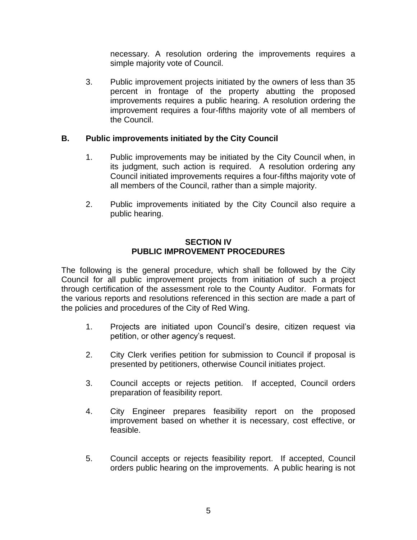necessary. A resolution ordering the improvements requires a simple majority vote of Council.

3. Public improvement projects initiated by the owners of less than 35 percent in frontage of the property abutting the proposed improvements requires a public hearing. A resolution ordering the improvement requires a four-fifths majority vote of all members of the Council.

# **B. Public improvements initiated by the City Council**

- 1. Public improvements may be initiated by the City Council when, in its judgment, such action is required. A resolution ordering any Council initiated improvements requires a four-fifths majority vote of all members of the Council, rather than a simple majority.
- 2. Public improvements initiated by the City Council also require a public hearing.

# **SECTION IV PUBLIC IMPROVEMENT PROCEDURES**

The following is the general procedure, which shall be followed by the City Council for all public improvement projects from initiation of such a project through certification of the assessment role to the County Auditor. Formats for the various reports and resolutions referenced in this section are made a part of the policies and procedures of the City of Red Wing.

- 1. Projects are initiated upon Council's desire, citizen request via petition, or other agency's request.
- 2. City Clerk verifies petition for submission to Council if proposal is presented by petitioners, otherwise Council initiates project.
- 3. Council accepts or rejects petition. If accepted, Council orders preparation of feasibility report.
- 4. City Engineer prepares feasibility report on the proposed improvement based on whether it is necessary, cost effective, or feasible.
- 5. Council accepts or rejects feasibility report. If accepted, Council orders public hearing on the improvements. A public hearing is not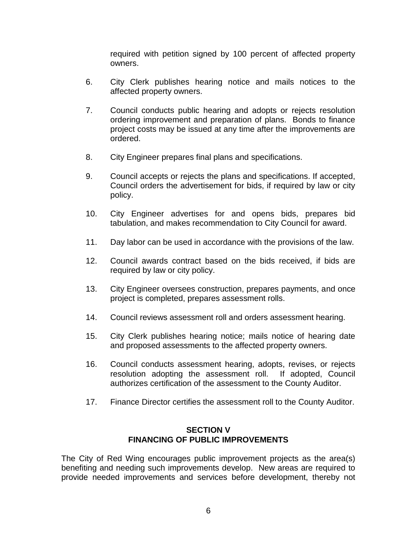required with petition signed by 100 percent of affected property owners.

- 6. City Clerk publishes hearing notice and mails notices to the affected property owners.
- 7. Council conducts public hearing and adopts or rejects resolution ordering improvement and preparation of plans. Bonds to finance project costs may be issued at any time after the improvements are ordered.
- 8. City Engineer prepares final plans and specifications.
- 9. Council accepts or rejects the plans and specifications. If accepted, Council orders the advertisement for bids, if required by law or city policy.
- 10. City Engineer advertises for and opens bids, prepares bid tabulation, and makes recommendation to City Council for award.
- 11. Day labor can be used in accordance with the provisions of the law.
- 12. Council awards contract based on the bids received, if bids are required by law or city policy.
- 13. City Engineer oversees construction, prepares payments, and once project is completed, prepares assessment rolls.
- 14. Council reviews assessment roll and orders assessment hearing.
- 15. City Clerk publishes hearing notice; mails notice of hearing date and proposed assessments to the affected property owners.
- 16. Council conducts assessment hearing, adopts, revises, or rejects resolution adopting the assessment roll. If adopted, Council authorizes certification of the assessment to the County Auditor.
- 17. Finance Director certifies the assessment roll to the County Auditor.

# **SECTION V FINANCING OF PUBLIC IMPROVEMENTS**

The City of Red Wing encourages public improvement projects as the area(s) benefiting and needing such improvements develop. New areas are required to provide needed improvements and services before development, thereby not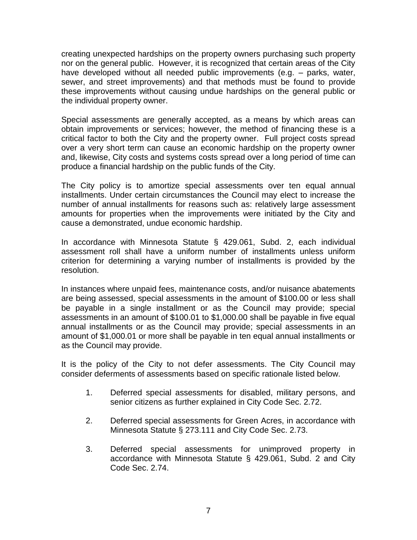creating unexpected hardships on the property owners purchasing such property nor on the general public. However, it is recognized that certain areas of the City have developed without all needed public improvements (e.g. – parks, water, sewer, and street improvements) and that methods must be found to provide these improvements without causing undue hardships on the general public or the individual property owner.

Special assessments are generally accepted, as a means by which areas can obtain improvements or services; however, the method of financing these is a critical factor to both the City and the property owner. Full project costs spread over a very short term can cause an economic hardship on the property owner and, likewise, City costs and systems costs spread over a long period of time can produce a financial hardship on the public funds of the City.

The City policy is to amortize special assessments over ten equal annual installments. Under certain circumstances the Council may elect to increase the number of annual installments for reasons such as: relatively large assessment amounts for properties when the improvements were initiated by the City and cause a demonstrated, undue economic hardship.

In accordance with Minnesota Statute § 429.061, Subd. 2, each individual assessment roll shall have a uniform number of installments unless uniform criterion for determining a varying number of installments is provided by the resolution.

In instances where unpaid fees, maintenance costs, and/or nuisance abatements are being assessed, special assessments in the amount of \$100.00 or less shall be payable in a single installment or as the Council may provide; special assessments in an amount of \$100.01 to \$1,000.00 shall be payable in five equal annual installments or as the Council may provide; special assessments in an amount of \$1,000.01 or more shall be payable in ten equal annual installments or as the Council may provide.

It is the policy of the City to not defer assessments. The City Council may consider deferments of assessments based on specific rationale listed below.

- 1. Deferred special assessments for disabled, military persons, and senior citizens as further explained in City Code Sec. 2.72.
- 2. Deferred special assessments for Green Acres, in accordance with Minnesota Statute § 273.111 and City Code Sec. 2.73.
- 3. Deferred special assessments for unimproved property in accordance with Minnesota Statute § 429.061, Subd. 2 and City Code Sec. 2.74.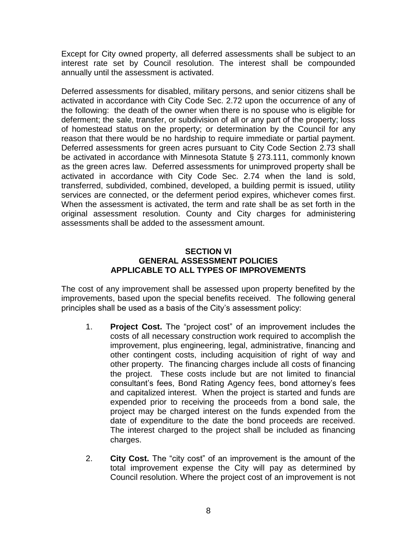Except for City owned property, all deferred assessments shall be subject to an interest rate set by Council resolution. The interest shall be compounded annually until the assessment is activated.

Deferred assessments for disabled, military persons, and senior citizens shall be activated in accordance with City Code Sec. 2.72 upon the occurrence of any of the following: the death of the owner when there is no spouse who is eligible for deferment; the sale, transfer, or subdivision of all or any part of the property; loss of homestead status on the property; or determination by the Council for any reason that there would be no hardship to require immediate or partial payment. Deferred assessments for green acres pursuant to City Code Section 2.73 shall be activated in accordance with Minnesota Statute § 273.111, commonly known as the green acres law. Deferred assessments for unimproved property shall be activated in accordance with City Code Sec. 2.74 when the land is sold, transferred, subdivided, combined, developed, a building permit is issued, utility services are connected, or the deferment period expires, whichever comes first. When the assessment is activated, the term and rate shall be as set forth in the original assessment resolution. County and City charges for administering assessments shall be added to the assessment amount.

# **SECTION VI GENERAL ASSESSMENT POLICIES APPLICABLE TO ALL TYPES OF IMPROVEMENTS**

The cost of any improvement shall be assessed upon property benefited by the improvements, based upon the special benefits received. The following general principles shall be used as a basis of the City's assessment policy:

- 1. **Project Cost.** The "project cost" of an improvement includes the costs of all necessary construction work required to accomplish the improvement, plus engineering, legal, administrative, financing and other contingent costs, including acquisition of right of way and other property. The financing charges include all costs of financing the project. These costs include but are not limited to financial consultant's fees, Bond Rating Agency fees, bond attorney's fees and capitalized interest. When the project is started and funds are expended prior to receiving the proceeds from a bond sale, the project may be charged interest on the funds expended from the date of expenditure to the date the bond proceeds are received. The interest charged to the project shall be included as financing charges.
- 2. **City Cost.** The "city cost" of an improvement is the amount of the total improvement expense the City will pay as determined by Council resolution. Where the project cost of an improvement is not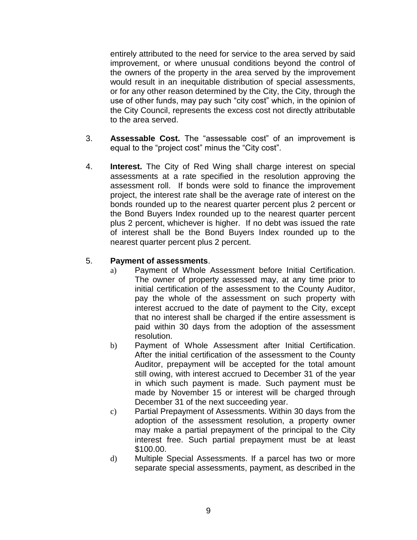entirely attributed to the need for service to the area served by said improvement, or where unusual conditions beyond the control of the owners of the property in the area served by the improvement would result in an inequitable distribution of special assessments, or for any other reason determined by the City, the City, through the use of other funds, may pay such "city cost" which, in the opinion of the City Council, represents the excess cost not directly attributable to the area served.

- 3. **Assessable Cost.** The "assessable cost" of an improvement is equal to the "project cost" minus the "City cost".
- 4. **Interest.** The City of Red Wing shall charge interest on special assessments at a rate specified in the resolution approving the assessment roll. If bonds were sold to finance the improvement project, the interest rate shall be the average rate of interest on the bonds rounded up to the nearest quarter percent plus 2 percent or the Bond Buyers Index rounded up to the nearest quarter percent plus 2 percent, whichever is higher. If no debt was issued the rate of interest shall be the Bond Buyers Index rounded up to the nearest quarter percent plus 2 percent.

# 5. **Payment of assessments**.

- a) Payment of Whole Assessment before Initial Certification. The owner of property assessed may, at any time prior to initial certification of the assessment to the County Auditor, pay the whole of the assessment on such property with interest accrued to the date of payment to the City, except that no interest shall be charged if the entire assessment is paid within 30 days from the adoption of the assessment resolution.
- b) Payment of Whole Assessment after Initial Certification. After the initial certification of the assessment to the County Auditor, prepayment will be accepted for the total amount still owing, with interest accrued to December 31 of the year in which such payment is made. Such payment must be made by November 15 or interest will be charged through December 31 of the next succeeding year.
- c) Partial Prepayment of Assessments. Within 30 days from the adoption of the assessment resolution, a property owner may make a partial prepayment of the principal to the City interest free. Such partial prepayment must be at least \$100.00.
- d) Multiple Special Assessments. If a parcel has two or more separate special assessments, payment, as described in the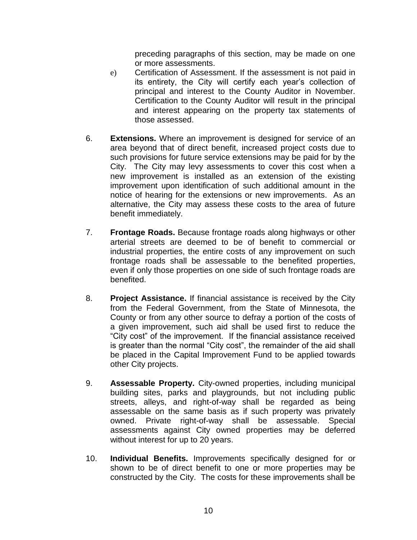preceding paragraphs of this section, may be made on one or more assessments.

- e) Certification of Assessment. If the assessment is not paid in its entirety, the City will certify each year's collection of principal and interest to the County Auditor in November. Certification to the County Auditor will result in the principal and interest appearing on the property tax statements of those assessed.
- 6. **Extensions.** Where an improvement is designed for service of an area beyond that of direct benefit, increased project costs due to such provisions for future service extensions may be paid for by the City. The City may levy assessments to cover this cost when a new improvement is installed as an extension of the existing improvement upon identification of such additional amount in the notice of hearing for the extensions or new improvements. As an alternative, the City may assess these costs to the area of future benefit immediately.
- 7. **Frontage Roads.** Because frontage roads along highways or other arterial streets are deemed to be of benefit to commercial or industrial properties, the entire costs of any improvement on such frontage roads shall be assessable to the benefited properties, even if only those properties on one side of such frontage roads are benefited.
- 8. **Project Assistance.** If financial assistance is received by the City from the Federal Government, from the State of Minnesota, the County or from any other source to defray a portion of the costs of a given improvement, such aid shall be used first to reduce the "City cost" of the improvement. If the financial assistance received is greater than the normal "City cost", the remainder of the aid shall be placed in the Capital Improvement Fund to be applied towards other City projects.
- 9. **Assessable Property.** City-owned properties, including municipal building sites, parks and playgrounds, but not including public streets, alleys, and right-of-way shall be regarded as being assessable on the same basis as if such property was privately owned. Private right-of-way shall be assessable. Special assessments against City owned properties may be deferred without interest for up to 20 years.
- 10. **Individual Benefits.** Improvements specifically designed for or shown to be of direct benefit to one or more properties may be constructed by the City. The costs for these improvements shall be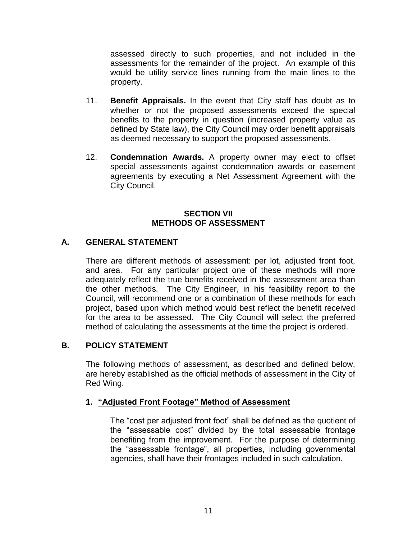assessed directly to such properties, and not included in the assessments for the remainder of the project. An example of this would be utility service lines running from the main lines to the property.

- 11. **Benefit Appraisals.** In the event that City staff has doubt as to whether or not the proposed assessments exceed the special benefits to the property in question (increased property value as defined by State law), the City Council may order benefit appraisals as deemed necessary to support the proposed assessments.
- 12. **Condemnation Awards.** A property owner may elect to offset special assessments against condemnation awards or easement agreements by executing a Net Assessment Agreement with the City Council.

# **SECTION VII METHODS OF ASSESSMENT**

# **A. GENERAL STATEMENT**

There are different methods of assessment: per lot, adjusted front foot, and area. For any particular project one of these methods will more adequately reflect the true benefits received in the assessment area than the other methods. The City Engineer, in his feasibility report to the Council, will recommend one or a combination of these methods for each project, based upon which method would best reflect the benefit received for the area to be assessed. The City Council will select the preferred method of calculating the assessments at the time the project is ordered.

# **B. POLICY STATEMENT**

The following methods of assessment, as described and defined below, are hereby established as the official methods of assessment in the City of Red Wing.

# **1. "Adjusted Front Footage" Method of Assessment**

The "cost per adjusted front foot" shall be defined as the quotient of the "assessable cost" divided by the total assessable frontage benefiting from the improvement. For the purpose of determining the "assessable frontage", all properties, including governmental agencies, shall have their frontages included in such calculation.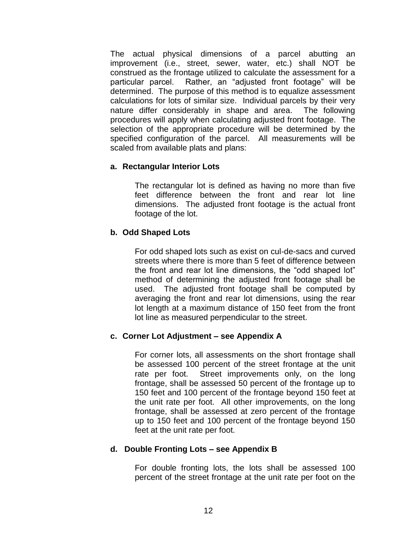The actual physical dimensions of a parcel abutting an improvement (i.e., street, sewer, water, etc.) shall NOT be construed as the frontage utilized to calculate the assessment for a particular parcel. Rather, an "adjusted front footage" will be determined. The purpose of this method is to equalize assessment calculations for lots of similar size. Individual parcels by their very nature differ considerably in shape and area. The following procedures will apply when calculating adjusted front footage. The selection of the appropriate procedure will be determined by the specified configuration of the parcel. All measurements will be scaled from available plats and plans:

# **a. Rectangular Interior Lots**

The rectangular lot is defined as having no more than five feet difference between the front and rear lot line dimensions. The adjusted front footage is the actual front footage of the lot.

# **b. Odd Shaped Lots**

For odd shaped lots such as exist on cul-de-sacs and curved streets where there is more than 5 feet of difference between the front and rear lot line dimensions, the "odd shaped lot" method of determining the adjusted front footage shall be used. The adjusted front footage shall be computed by averaging the front and rear lot dimensions, using the rear lot length at a maximum distance of 150 feet from the front lot line as measured perpendicular to the street.

# **c. Corner Lot Adjustment – see Appendix A**

For corner lots, all assessments on the short frontage shall be assessed 100 percent of the street frontage at the unit rate per foot. Street improvements only, on the long frontage, shall be assessed 50 percent of the frontage up to 150 feet and 100 percent of the frontage beyond 150 feet at the unit rate per foot. All other improvements, on the long frontage, shall be assessed at zero percent of the frontage up to 150 feet and 100 percent of the frontage beyond 150 feet at the unit rate per foot.

# **d. Double Fronting Lots – see Appendix B**

For double fronting lots, the lots shall be assessed 100 percent of the street frontage at the unit rate per foot on the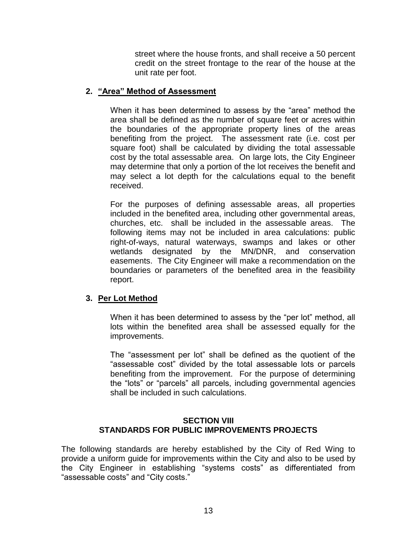street where the house fronts, and shall receive a 50 percent credit on the street frontage to the rear of the house at the unit rate per foot.

# **2. "Area" Method of Assessment**

When it has been determined to assess by the "area" method the area shall be defined as the number of square feet or acres within the boundaries of the appropriate property lines of the areas benefiting from the project. The assessment rate (i.e. cost per square foot) shall be calculated by dividing the total assessable cost by the total assessable area. On large lots, the City Engineer may determine that only a portion of the lot receives the benefit and may select a lot depth for the calculations equal to the benefit received.

For the purposes of defining assessable areas, all properties included in the benefited area, including other governmental areas, churches, etc. shall be included in the assessable areas. The following items may not be included in area calculations: public right-of-ways, natural waterways, swamps and lakes or other wetlands designated by the MN/DNR, and conservation easements. The City Engineer will make a recommendation on the boundaries or parameters of the benefited area in the feasibility report.

# **3. Per Lot Method**

When it has been determined to assess by the "per lot" method, all lots within the benefited area shall be assessed equally for the improvements.

The "assessment per lot" shall be defined as the quotient of the "assessable cost" divided by the total assessable lots or parcels benefiting from the improvement. For the purpose of determining the "lots" or "parcels" all parcels, including governmental agencies shall be included in such calculations.

# **SECTION VIII STANDARDS FOR PUBLIC IMPROVEMENTS PROJECTS**

The following standards are hereby established by the City of Red Wing to provide a uniform guide for improvements within the City and also to be used by the City Engineer in establishing "systems costs" as differentiated from "assessable costs" and "City costs."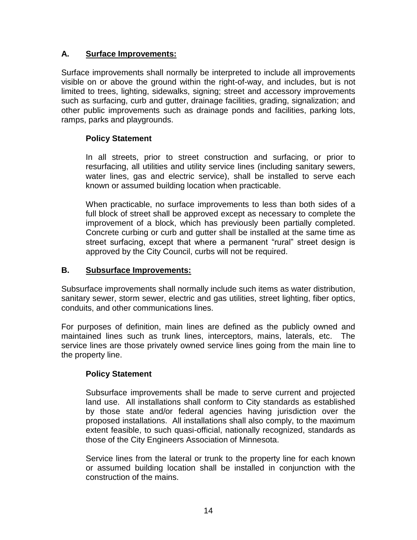# **A. Surface Improvements:**

Surface improvements shall normally be interpreted to include all improvements visible on or above the ground within the right-of-way, and includes, but is not limited to trees, lighting, sidewalks, signing; street and accessory improvements such as surfacing, curb and gutter, drainage facilities, grading, signalization; and other public improvements such as drainage ponds and facilities, parking lots, ramps, parks and playgrounds.

# **Policy Statement**

In all streets, prior to street construction and surfacing, or prior to resurfacing, all utilities and utility service lines (including sanitary sewers, water lines, gas and electric service), shall be installed to serve each known or assumed building location when practicable.

When practicable, no surface improvements to less than both sides of a full block of street shall be approved except as necessary to complete the improvement of a block, which has previously been partially completed. Concrete curbing or curb and gutter shall be installed at the same time as street surfacing, except that where a permanent "rural" street design is approved by the City Council, curbs will not be required.

# **B. Subsurface Improvements:**

Subsurface improvements shall normally include such items as water distribution, sanitary sewer, storm sewer, electric and gas utilities, street lighting, fiber optics, conduits, and other communications lines.

For purposes of definition, main lines are defined as the publicly owned and maintained lines such as trunk lines, interceptors, mains, laterals, etc. The service lines are those privately owned service lines going from the main line to the property line.

# **Policy Statement**

Subsurface improvements shall be made to serve current and projected land use. All installations shall conform to City standards as established by those state and/or federal agencies having jurisdiction over the proposed installations. All installations shall also comply, to the maximum extent feasible, to such quasi-official, nationally recognized, standards as those of the City Engineers Association of Minnesota.

Service lines from the lateral or trunk to the property line for each known or assumed building location shall be installed in conjunction with the construction of the mains.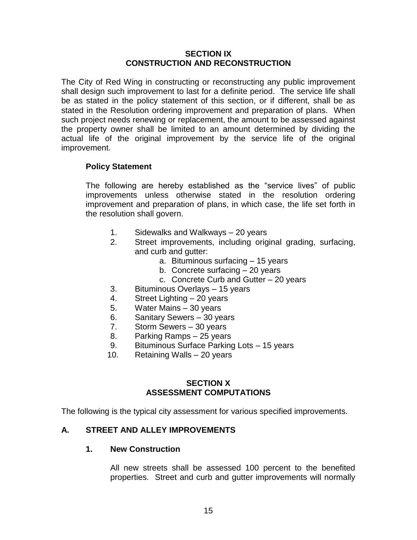### **SECTION IX CONSTRUCTION AND RECONSTRUCTION**

The City of Red Wing in constructing or reconstructing any public improvement shall design such improvement to last for a definite period. The service life shall be as stated in the policy statement of this section, or if different, shall be as stated in the Resolution ordering improvement and preparation of plans. When such project needs renewing or replacement, the amount to be assessed against the property owner shall be limited to an amount determined by dividing the actual life of the original improvement by the service life of the original improvement.

# **Policy Statement**

The following are hereby established as the "service lives" of public improvements unless otherwise stated in the resolution ordering improvement and preparation of plans, in which case, the life set forth in the resolution shall govern.

- 1. Sidewalks and Walkways 20 years
- 2. Street improvements, including original grading, surfacing, and curb and gutter:
	- a. Bituminous surfacing 15 years
	- b. Concrete surfacing 20 years
	- c. Concrete Curb and Gutter 20 years
- 3. Bituminous Overlays 15 years
- 4. Street Lighting 20 years
- 5. Water Mains 30 years
- 6. Sanitary Sewers 30 years
- 7. Storm Sewers 30 years
- 8. Parking Ramps 25 years
- 9. Bituminous Surface Parking Lots 15 years
- 10. Retaining Walls 20 years

#### **SECTION X ASSESSMENT COMPUTATIONS**

The following is the typical city assessment for various specified improvements.

# **A. STREET AND ALLEY IMPROVEMENTS**

#### **1. New Construction**

All new streets shall be assessed 100 percent to the benefited properties. Street and curb and gutter improvements will normally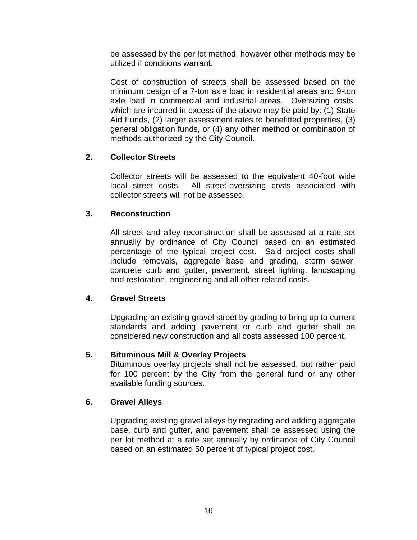be assessed by the per lot method, however other methods may be utilized if conditions warrant.

Cost of construction of streets shall be assessed based on the minimum design of a 7-ton axle load in residential areas and 9-ton axle load in commercial and industrial areas. Oversizing costs, which are incurred in excess of the above may be paid by: (1) State Aid Funds, (2) larger assessment rates to benefitted properties, (3) general obligation funds, or (4) any other method or combination of methods authorized by the City Council.

# **2. Collector Streets**

Collector streets will be assessed to the equivalent 40-foot wide local street costs. All street-oversizing costs associated with collector streets will not be assessed.

# **3. Reconstruction**

All street and alley reconstruction shall be assessed at a rate set annually by ordinance of City Council based on an estimated percentage of the typical project cost. Said project costs shall include removals, aggregate base and grading, storm sewer, concrete curb and gutter, pavement, street lighting, landscaping and restoration, engineering and all other related costs.

# **4. Gravel Streets**

Upgrading an existing gravel street by grading to bring up to current standards and adding pavement or curb and gutter shall be considered new construction and all costs assessed 100 percent.

# **5. Bituminous Mill & Overlay Projects**

Bituminous overlay projects shall not be assessed, but rather paid for 100 percent by the City from the general fund or any other available funding sources.

# **6. Gravel Alleys**

Upgrading existing gravel alleys by regrading and adding aggregate base, curb and gutter, and pavement shall be assessed using the per lot method at a rate set annually by ordinance of City Council based on an estimated 50 percent of typical project cost.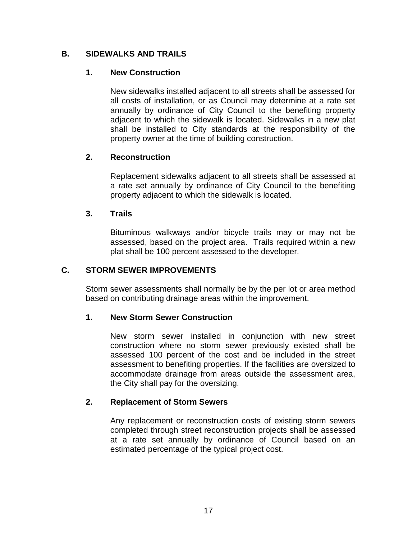# **B. SIDEWALKS AND TRAILS**

# **1. New Construction**

New sidewalks installed adjacent to all streets shall be assessed for all costs of installation, or as Council may determine at a rate set annually by ordinance of City Council to the benefiting property adjacent to which the sidewalk is located. Sidewalks in a new plat shall be installed to City standards at the responsibility of the property owner at the time of building construction.

# **2. Reconstruction**

Replacement sidewalks adjacent to all streets shall be assessed at a rate set annually by ordinance of City Council to the benefiting property adjacent to which the sidewalk is located.

# **3. Trails**

Bituminous walkways and/or bicycle trails may or may not be assessed, based on the project area. Trails required within a new plat shall be 100 percent assessed to the developer.

# **C. STORM SEWER IMPROVEMENTS**

Storm sewer assessments shall normally be by the per lot or area method based on contributing drainage areas within the improvement.

# **1. New Storm Sewer Construction**

New storm sewer installed in conjunction with new street construction where no storm sewer previously existed shall be assessed 100 percent of the cost and be included in the street assessment to benefiting properties. If the facilities are oversized to accommodate drainage from areas outside the assessment area, the City shall pay for the oversizing.

# **2. Replacement of Storm Sewers**

Any replacement or reconstruction costs of existing storm sewers completed through street reconstruction projects shall be assessed at a rate set annually by ordinance of Council based on an estimated percentage of the typical project cost.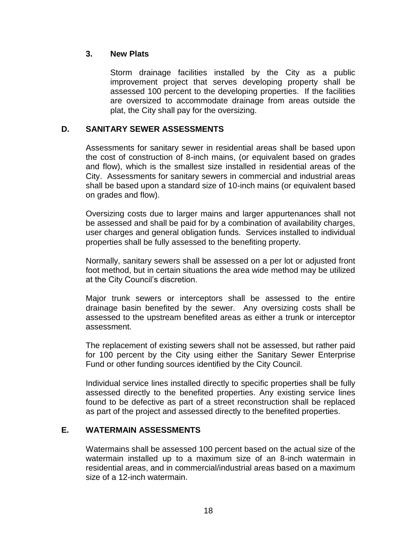# **3. New Plats**

Storm drainage facilities installed by the City as a public improvement project that serves developing property shall be assessed 100 percent to the developing properties. If the facilities are oversized to accommodate drainage from areas outside the plat, the City shall pay for the oversizing.

# **D. SANITARY SEWER ASSESSMENTS**

Assessments for sanitary sewer in residential areas shall be based upon the cost of construction of 8-inch mains, (or equivalent based on grades and flow), which is the smallest size installed in residential areas of the City. Assessments for sanitary sewers in commercial and industrial areas shall be based upon a standard size of 10-inch mains (or equivalent based on grades and flow).

Oversizing costs due to larger mains and larger appurtenances shall not be assessed and shall be paid for by a combination of availability charges, user charges and general obligation funds. Services installed to individual properties shall be fully assessed to the benefiting property.

Normally, sanitary sewers shall be assessed on a per lot or adjusted front foot method, but in certain situations the area wide method may be utilized at the City Council's discretion.

Major trunk sewers or interceptors shall be assessed to the entire drainage basin benefited by the sewer. Any oversizing costs shall be assessed to the upstream benefited areas as either a trunk or interceptor assessment.

The replacement of existing sewers shall not be assessed, but rather paid for 100 percent by the City using either the Sanitary Sewer Enterprise Fund or other funding sources identified by the City Council.

Individual service lines installed directly to specific properties shall be fully assessed directly to the benefited properties. Any existing service lines found to be defective as part of a street reconstruction shall be replaced as part of the project and assessed directly to the benefited properties.

# **E. WATERMAIN ASSESSMENTS**

Watermains shall be assessed 100 percent based on the actual size of the watermain installed up to a maximum size of an 8-inch watermain in residential areas, and in commercial/industrial areas based on a maximum size of a 12-inch watermain.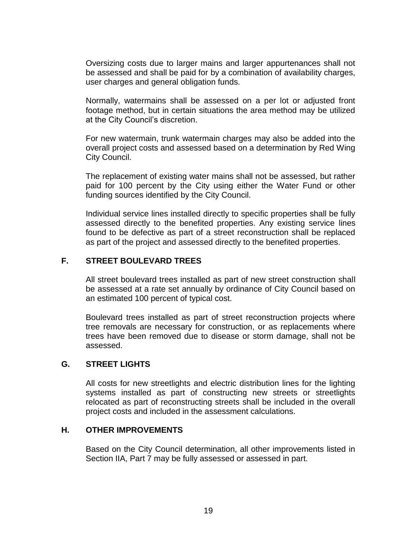Oversizing costs due to larger mains and larger appurtenances shall not be assessed and shall be paid for by a combination of availability charges, user charges and general obligation funds.

Normally, watermains shall be assessed on a per lot or adjusted front footage method, but in certain situations the area method may be utilized at the City Council's discretion.

For new watermain, trunk watermain charges may also be added into the overall project costs and assessed based on a determination by Red Wing City Council.

The replacement of existing water mains shall not be assessed, but rather paid for 100 percent by the City using either the Water Fund or other funding sources identified by the City Council.

Individual service lines installed directly to specific properties shall be fully assessed directly to the benefited properties. Any existing service lines found to be defective as part of a street reconstruction shall be replaced as part of the project and assessed directly to the benefited properties.

#### **F. STREET BOULEVARD TREES**

All street boulevard trees installed as part of new street construction shall be assessed at a rate set annually by ordinance of City Council based on an estimated 100 percent of typical cost.

Boulevard trees installed as part of street reconstruction projects where tree removals are necessary for construction, or as replacements where trees have been removed due to disease or storm damage, shall not be assessed.

#### **G. STREET LIGHTS**

All costs for new streetlights and electric distribution lines for the lighting systems installed as part of constructing new streets or streetlights relocated as part of reconstructing streets shall be included in the overall project costs and included in the assessment calculations.

#### **H. OTHER IMPROVEMENTS**

Based on the City Council determination, all other improvements listed in Section IIA, Part 7 may be fully assessed or assessed in part.